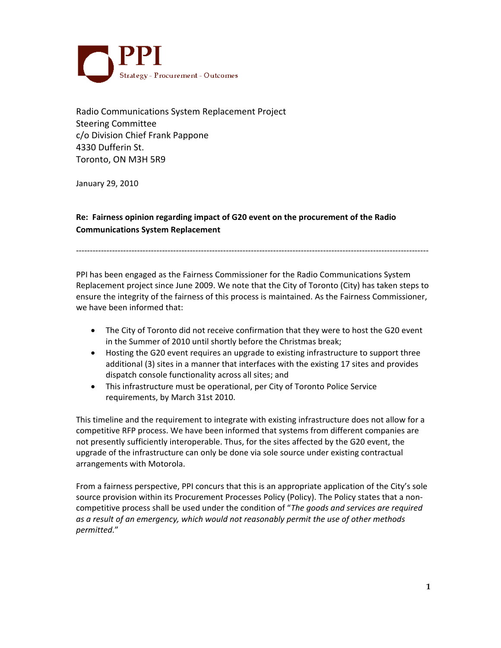

Radio Communications System Replacement Project Steering Committee c/o Division Chief Frank Pappone 4330 Dufferin St. Toronto, ON M3H 5R9

January 29, 2010

**Re: Fairness opinion regarding impact of G20 event on the procurement of the Radio Communications System Replacement**

PPI has been engaged as the Fairness Commissioner for the Radio Communications System Replacement project since June 2009. We note that the City of Toronto (City) has taken steps to ensure the integrity of the fairness of this process is maintained. As the Fairness Commissioner, we have been informed that:

-------------------------------------------------------------------------------------------------------------------------------

- The City of Toronto did not receive confirmation that they were to host the G20 event in the Summer of 2010 until shortly before the Christmas break;
- Hosting the G20 event requires an upgrade to existing infrastructure to support three additional (3) sites in a manner that interfaces with the existing 17 sites and provides dispatch console functionality across all sites; and
- This infrastructure must be operational, per City of Toronto Police Service requirements, by March 31st 2010.

This timeline and the requirement to integrate with existing infrastructure does not allow for a competitive RFP process. We have been informed that systems from different companies are not presently sufficiently interoperable. Thus, for the sites affected by the G20 event, the upgrade of the infrastructure can only be done via sole source under existing contractual arrangements with Motorola.

From a fairness perspective, PPI concurs that this is an appropriate application of the City's sole source provision within its Procurement Processes Policy (Policy). The Policy states that a noncompetitive process shall be used under the condition of "*The goods and services are required as a result of an emergency, which would not reasonably permit the use of other methods permitted.*"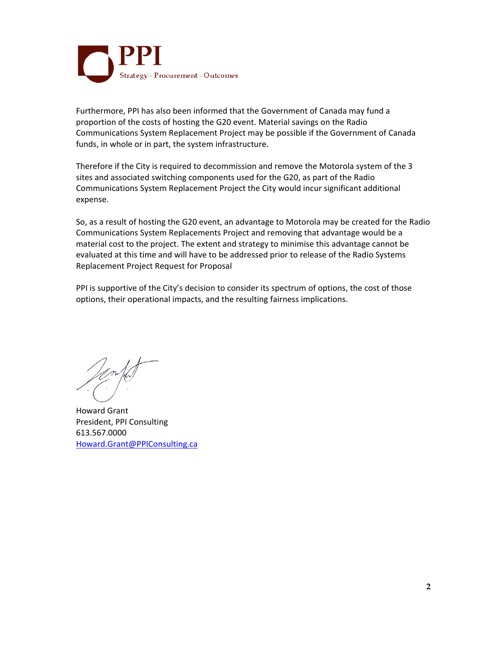

Furthermore, PPI has also been informed that the Government of Canada may fund a proportion of the costs of hosting the G20 event. Material savings on the Radio Communications System Replacement Project may be possible if the Government of Canada funds, in whole or in part, the system infrastructure.

Therefore if the City is required to decommission and remove the Motorola system of the 3 sites and associated switching components used for the G20, as part of the Radio Communications System Replacement Project the City would incur significant additional expense.

So, as a result of hosting the G20 event, an advantage to Motorola may be created for the Radio Communications System Replacements Project and removing that advantage would be a material cost to the project. The extent and strategy to minimise this advantage cannot be evaluated at this time and will have to be addressed prior to release of the Radio Systems Replacement Project Request for Proposal

PPI is supportive of the City's decision to consider its spectrum of options, the cost of those options, their operational impacts, and the resulting fairness implications.

Howard Grant President, PPI Consulting 613.567.0000 [Howard.Grant@PPIConsulting.ca](mailto:Howard.Grant@PPIConsulting.ca)